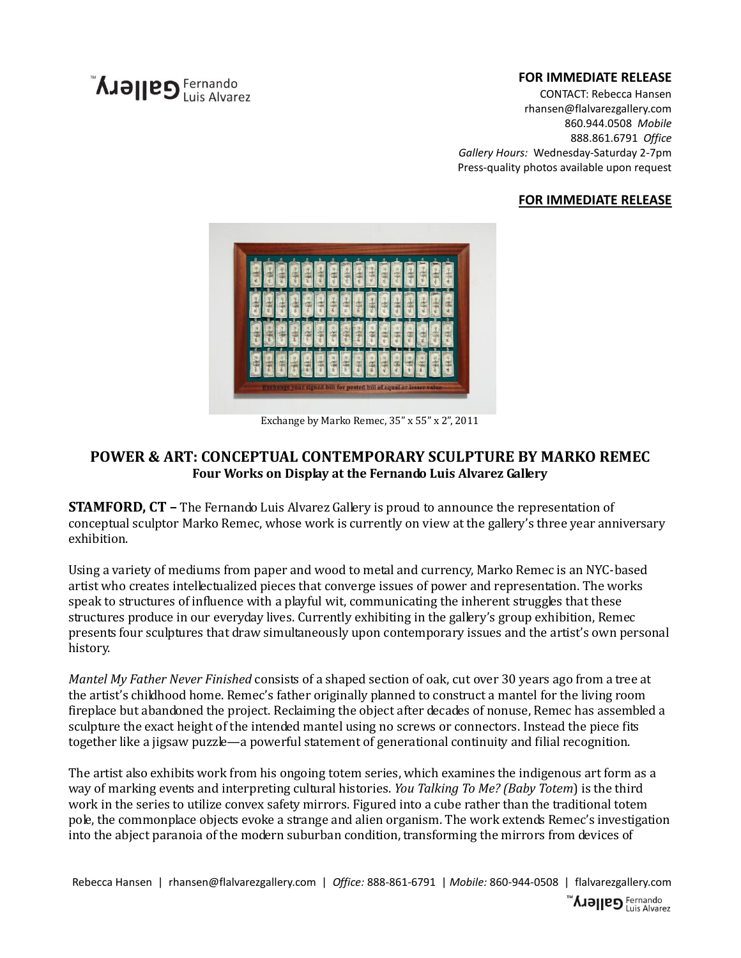# **AJƏ||PS** Fernando

## **FOR IMMEDIATE RELEASE**

CONTACT: Rebecca Hansen rhansen@flalvarezgallery.com 860.944.0508 *Mobile* 888.861.6791 *Office Gallery Hours:* Wednesday-Saturday 2-7pm Press-quality photos available upon request

## **FOR IMMEDIATE RELEASE**



Exchange by Marko Remec, 35" x 55" x 2", 2011

## **POWER & ART: CONCEPTUAL CONTEMPORARY SCULPTURE BY MARKO REMEC Four Works on Display at the Fernando Luis Alvarez Gallery**

**STAMFORD, CT –** The Fernando Luis Alvarez Gallery is proud to announce the representation of conceptual sculptor Marko Remec, whose work is currently on view at the gallery's three year anniversary exhibition.

Using a variety of mediums from paper and wood to metal and currency, Marko Remec is an NYC-based artist who creates intellectualized pieces that converge issues of power and representation. The works speak to structures of influence with a playful wit, communicating the inherent struggles that these structures produce in our everyday lives. Currently exhibiting in the gallery's group exhibition, Remec presents four sculptures that draw simultaneously upon contemporary issues and the artist's own personal history.

*Mantel My Father Never Finished* consists of a shaped section of oak, cut over 30 years ago from a tree at the artist's childhood home. Remec's father originally planned to construct a mantel for the living room fireplace but abandoned the project. Reclaiming the object after decades of nonuse, Remec has assembled a sculpture the exact height of the intended mantel using no screws or connectors. Instead the piece fits together like a jigsaw puzzle—a powerful statement of generational continuity and filial recognition.

The artist also exhibits work from his ongoing totem series, which examines the indigenous art form as a way of marking events and interpreting cultural histories. *You Talking To Me? (Baby Totem*) is the third work in the series to utilize convex safety mirrors. Figured into a cube rather than the traditional totem pole, the commonplace objects evoke a strange and alien organism. The work extends Remec's investigation into the abject paranoia of the modern suburban condition, transforming the mirrors from devices of